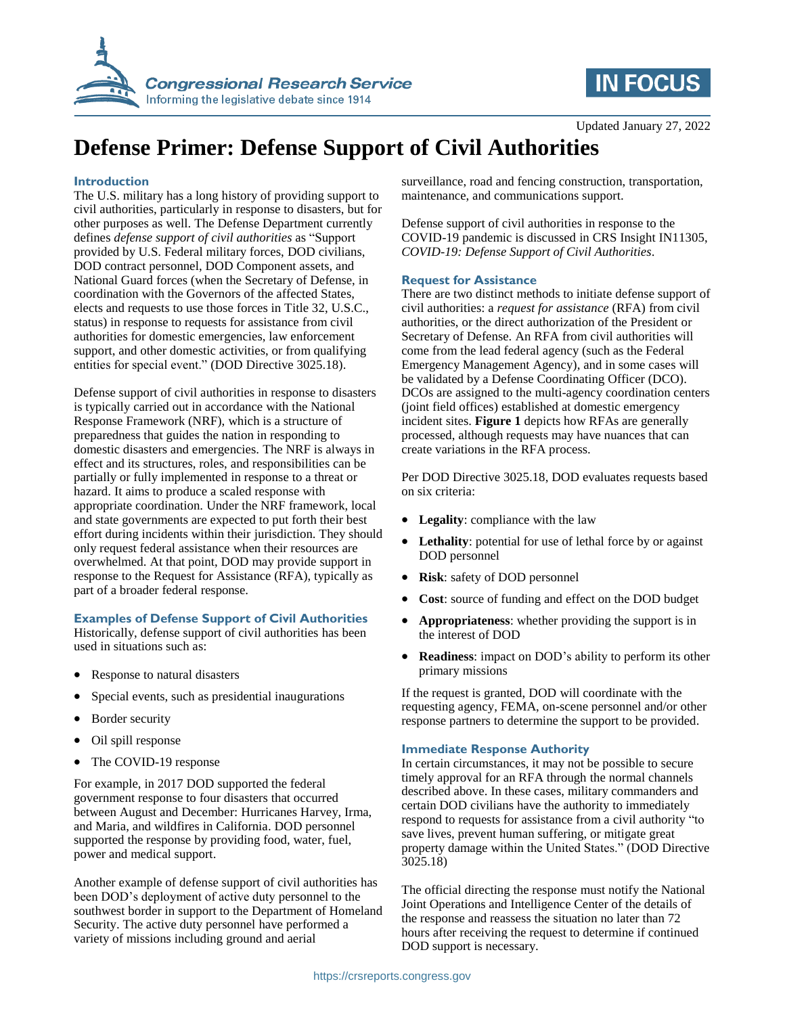



# **Defense Primer: Defense Support of Civil Authorities**

#### **Introduction**

The U.S. military has a long history of providing support to civil authorities, particularly in response to disasters, but for other purposes as well. The Defense Department currently defines *defense support of civil authorities* as "Support provided by U.S. Federal military forces, DOD civilians, DOD contract personnel, DOD Component assets, and National Guard forces (when the Secretary of Defense, in coordination with the Governors of the affected States, elects and requests to use those forces in Title 32, U.S.C., status) in response to requests for assistance from civil authorities for domestic emergencies, law enforcement support, and other domestic activities, or from qualifying entities for special event." (DOD Directive 3025.18).

Defense support of civil authorities in response to disasters is typically carried out in accordance with the National Response Framework (NRF), which is a structure of preparedness that guides the nation in responding to domestic disasters and emergencies. The NRF is always in effect and its structures, roles, and responsibilities can be partially or fully implemented in response to a threat or hazard. It aims to produce a scaled response with appropriate coordination. Under the NRF framework, local and state governments are expected to put forth their best effort during incidents within their jurisdiction. They should only request federal assistance when their resources are overwhelmed. At that point, DOD may provide support in response to the Request for Assistance (RFA), typically as part of a broader federal response.

# **Examples of Defense Support of Civil Authorities**

Historically, defense support of civil authorities has been used in situations such as:

- Response to natural disasters
- Special events, such as presidential inaugurations
- Border security
- Oil spill response
- The COVID-19 response

For example, in 2017 DOD supported the federal government response to four disasters that occurred between August and December: Hurricanes Harvey, Irma, and Maria, and wildfires in California. DOD personnel supported the response by providing food, water, fuel, power and medical support.

Another example of defense support of civil authorities has been DOD's deployment of active duty personnel to the southwest border in support to the Department of Homeland Security. The active duty personnel have performed a variety of missions including ground and aerial

surveillance, road and fencing construction, transportation, maintenance, and communications support.

Defense support of civil authorities in response to the COVID-19 pandemic is discussed in CRS Insight IN11305, *COVID-19: Defense Support of Civil Authorities*.

#### **Request for Assistance**

There are two distinct methods to initiate defense support of civil authorities: a *request for assistance* (RFA) from civil authorities, or the direct authorization of the President or Secretary of Defense. An RFA from civil authorities will come from the lead federal agency (such as the Federal Emergency Management Agency), and in some cases will be validated by a Defense Coordinating Officer (DCO). DCOs are assigned to the multi-agency coordination centers (joint field offices) established at domestic emergency incident sites. **Figure 1** depicts how RFAs are generally processed, although requests may have nuances that can create variations in the RFA process.

Per DOD Directive 3025.18, DOD evaluates requests based on six criteria:

- **Legality**: compliance with the law
- **Lethality**: potential for use of lethal force by or against DOD personnel
- **Risk**: safety of DOD personnel
- **Cost**: source of funding and effect on the DOD budget
- **Appropriateness**: whether providing the support is in the interest of DOD
- **Readiness**: impact on DOD's ability to perform its other primary missions

If the request is granted, DOD will coordinate with the requesting agency, FEMA, on-scene personnel and/or other response partners to determine the support to be provided.

# **Immediate Response Authority**

In certain circumstances, it may not be possible to secure timely approval for an RFA through the normal channels described above. In these cases, military commanders and certain DOD civilians have the authority to immediately respond to requests for assistance from a civil authority "to save lives, prevent human suffering, or mitigate great property damage within the United States." (DOD Directive 3025.18)

The official directing the response must notify the National Joint Operations and Intelligence Center of the details of the response and reassess the situation no later than 72 hours after receiving the request to determine if continued DOD support is necessary.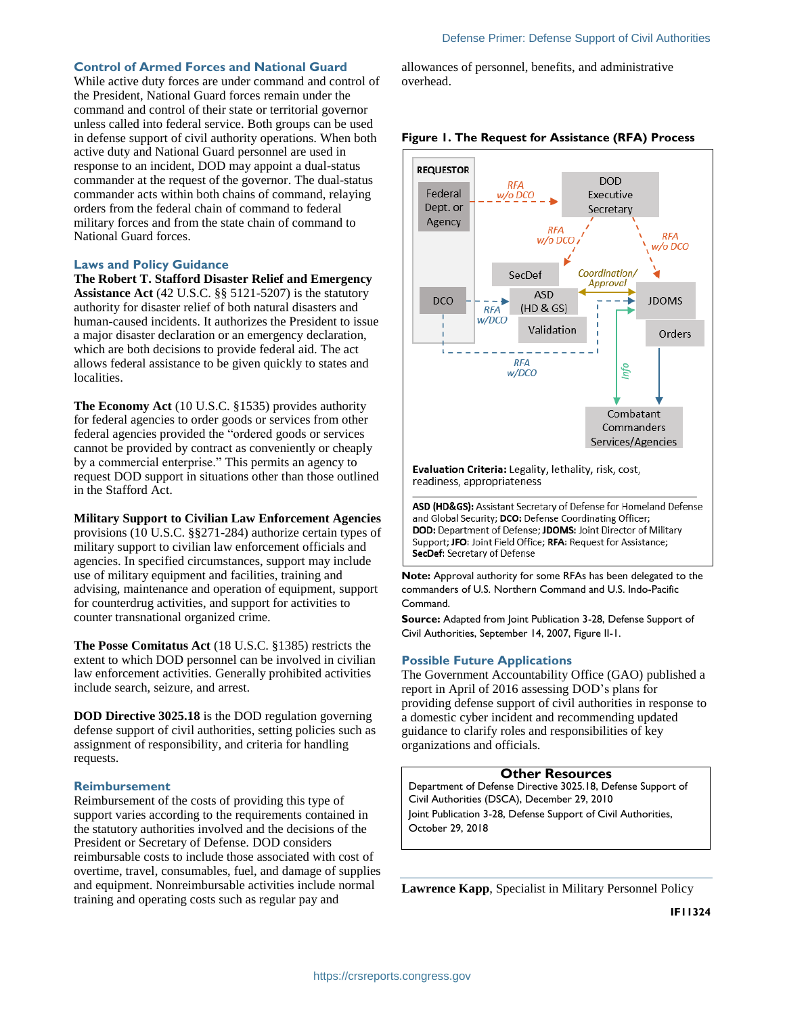# **Control of Armed Forces and National Guard**

While active duty forces are under command and control of the President, National Guard forces remain under the command and control of their state or territorial governor unless called into federal service. Both groups can be used in defense support of civil authority operations. When both active duty and National Guard personnel are used in response to an incident, DOD may appoint a dual-status commander at the request of the governor. The dual-status commander acts within both chains of command, relaying orders from the federal chain of command to federal military forces and from the state chain of command to National Guard forces.

#### **Laws and Policy Guidance**

**The Robert T. Stafford Disaster Relief and Emergency Assistance Act** (42 U.S.C. §§ 5121-5207) is the statutory authority for disaster relief of both natural disasters and human-caused incidents. It authorizes the President to issue a major disaster declaration or an emergency declaration, which are both decisions to provide federal aid. The act allows federal assistance to be given quickly to states and localities.

**The Economy Act** (10 U.S.C. §1535) provides authority for federal agencies to order goods or services from other federal agencies provided the "ordered goods or services cannot be provided by contract as conveniently or cheaply by a commercial enterprise." This permits an agency to request DOD support in situations other than those outlined in the Stafford Act.

**Military Support to Civilian Law Enforcement Agencies** provisions (10 U.S.C. §§271-284) authorize certain types of military support to civilian law enforcement officials and agencies. In specified circumstances, support may include use of military equipment and facilities, training and advising, maintenance and operation of equipment, support for counterdrug activities, and support for activities to counter transnational organized crime.

**The Posse Comitatus Act** (18 U.S.C. §1385) restricts the extent to which DOD personnel can be involved in civilian law enforcement activities. Generally prohibited activities include search, seizure, and arrest.

**DOD Directive 3025.18** is the DOD regulation governing defense support of civil authorities, setting policies such as assignment of responsibility, and criteria for handling requests.

#### **Reimbursement**

Reimbursement of the costs of providing this type of support varies according to the requirements contained in the statutory authorities involved and the decisions of the President or Secretary of Defense. DOD considers reimbursable costs to include those associated with cost of overtime, travel, consumables, fuel, and damage of supplies and equipment. Nonreimbursable activities include normal training and operating costs such as regular pay and

allowances of personnel, benefits, and administrative overhead.



#### **Figure 1. The Request for Assistance (RFA) Process**

Evaluation Criteria: Legality, lethality, risk, cost, readiness, appropriateness

ASD (HD&GS): Assistant Secretary of Defense for Homeland Defense and Global Security; DCO: Defense Coordinating Officer; DOD: Department of Defense; JDOMS: Joint Director of Military Support; JFO: Joint Field Office; RFA: Request for Assistance; **SecDef:** Secretary of Defense

**Note:** Approval authority for some RFAs has been delegated to the commanders of U.S. Northern Command and U.S. Indo-Pacific Command.

**Source:** Adapted from Joint Publication 3-28, Defense Support of Civil Authorities, September 14, 2007, Figure II-1.

# **Possible Future Applications**

The Government Accountability Office (GAO) published a report in April of 2016 assessing DOD's plans for providing defense support of civil authorities in response to a domestic cyber incident and recommending updated guidance to clarify roles and responsibilities of key organizations and officials.

# **Other Resources**

Department of Defense Directive 3025.18, Defense Support of Civil Authorities (DSCA), December 29, 2010 Joint Publication 3-28, Defense Support of Civil Authorities, October 29, 2018

**Lawrence Kapp**, Specialist in Military Personnel Policy